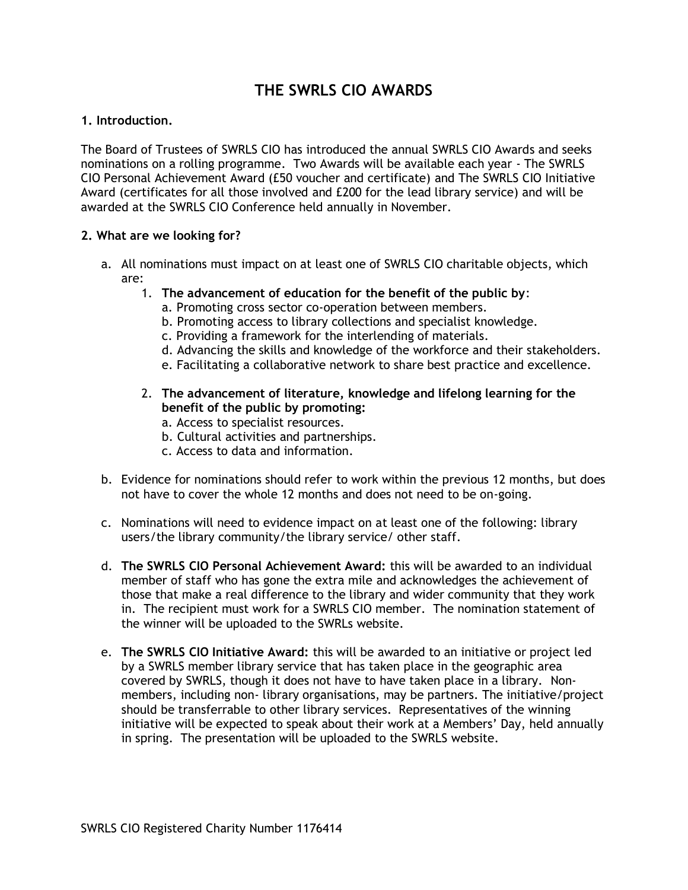# **THE SWRLS CIO AWARDS**

## **1. Introduction.**

The Board of Trustees of SWRLS CIO has introduced the annual SWRLS CIO Awards and seeks nominations on a rolling programme. Two Awards will be available each year - The SWRLS CIO Personal Achievement Award (£50 voucher and certificate) and The SWRLS CIO Initiative Award (certificates for all those involved and £200 for the lead library service) and will be awarded at the SWRLS CIO Conference held annually in November.

## **2. What are we looking for?**

- a. All nominations must impact on at least one of SWRLS CIO charitable objects, which are:
	- 1. **The advancement of education for the benefit of the public by**:
		- a. Promoting cross sector co-operation between members.
		- b. Promoting access to library collections and specialist knowledge.
		- c. Providing a framework for the interlending of materials.
		- d. Advancing the skills and knowledge of the workforce and their stakeholders.
		- e. Facilitating a collaborative network to share best practice and excellence.
	- 2. **The advancement of literature, knowledge and lifelong learning for the benefit of the public by promoting:**
		- a. Access to specialist resources.
		- b. Cultural activities and partnerships.
		- c. Access to data and information.
- b. Evidence for nominations should refer to work within the previous 12 months, but does not have to cover the whole 12 months and does not need to be on-going.
- c. Nominations will need to evidence impact on at least one of the following: library users/the library community/the library service/ other staff.
- d. **The SWRLS CIO Personal Achievement Award:** this will be awarded to an individual member of staff who has gone the extra mile and acknowledges the achievement of those that make a real difference to the library and wider community that they work in. The recipient must work for a SWRLS CIO member. The nomination statement of the winner will be uploaded to the SWRLs website.
- e. **The SWRLS CIO Initiative Award:** this will be awarded to an initiative or project led by a SWRLS member library service that has taken place in the geographic area covered by SWRLS, though it does not have to have taken place in a library. Nonmembers, including non- library organisations, may be partners. The initiative/project should be transferrable to other library services. Representatives of the winning initiative will be expected to speak about their work at a Members' Day, held annually in spring. The presentation will be uploaded to the SWRLS website.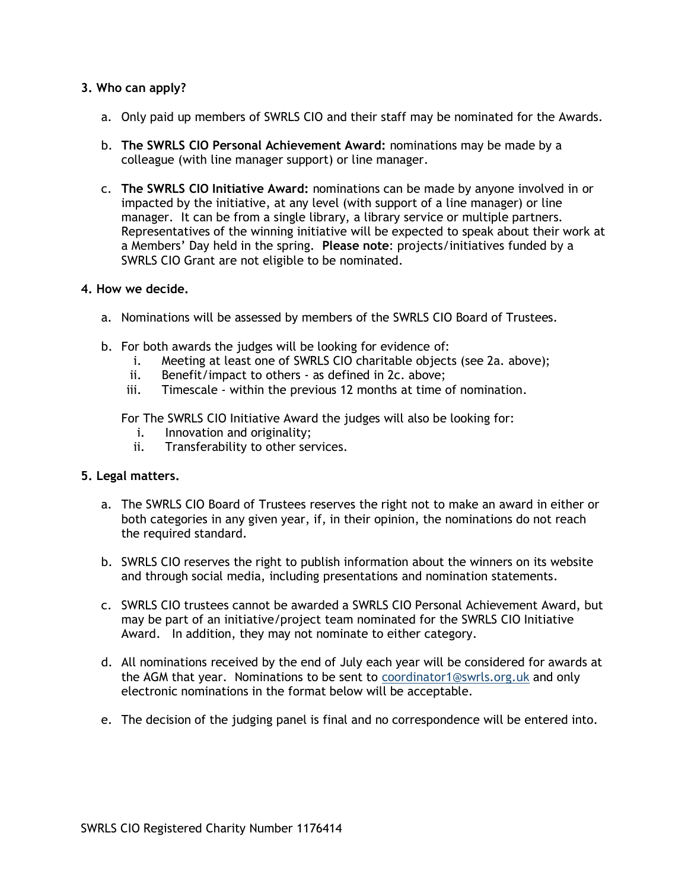## **3. Who can apply?**

- a. Only paid up members of SWRLS CIO and their staff may be nominated for the Awards.
- b. **The SWRLS CIO Personal Achievement Award:** nominations may be made by a colleague (with line manager support) or line manager.
- c. **The SWRLS CIO Initiative Award:** nominations can be made by anyone involved in or impacted by the initiative, at any level (with support of a line manager) or line manager. It can be from a single library, a library service or multiple partners. Representatives of the winning initiative will be expected to speak about their work at a Members' Day held in the spring. **Please note**: projects/initiatives funded by a SWRLS CIO Grant are not eligible to be nominated.

#### **4. How we decide.**

- a. Nominations will be assessed by members of the SWRLS CIO Board of Trustees.
- b. For both awards the judges will be looking for evidence of:
	- i. Meeting at least one of SWRLS CIO charitable objects (see 2a. above);
	- ii. Benefit/impact to others as defined in 2c. above;
	- iii. Timescale within the previous 12 months at time of nomination.

For The SWRLS CIO Initiative Award the judges will also be looking for:

- i. Innovation and originality;
- ii. Transferability to other services.

#### **5. Legal matters.**

- a. The SWRLS CIO Board of Trustees reserves the right not to make an award in either or both categories in any given year, if, in their opinion, the nominations do not reach the required standard.
- b. SWRLS CIO reserves the right to publish information about the winners on its website and through social media, including presentations and nomination statements.
- c. SWRLS CIO trustees cannot be awarded a SWRLS CIO Personal Achievement Award, but may be part of an initiative/project team nominated for the SWRLS CIO Initiative Award. In addition, they may not nominate to either category.
- d. All nominations received by the end of July each year will be considered for awards at the AGM that year. Nominations to be sent to [coordinator1@swrls.org.uk](mailto:coordinator1@swrls.org.uk) and only electronic nominations in the format below will be acceptable.
- e. The decision of the judging panel is final and no correspondence will be entered into.